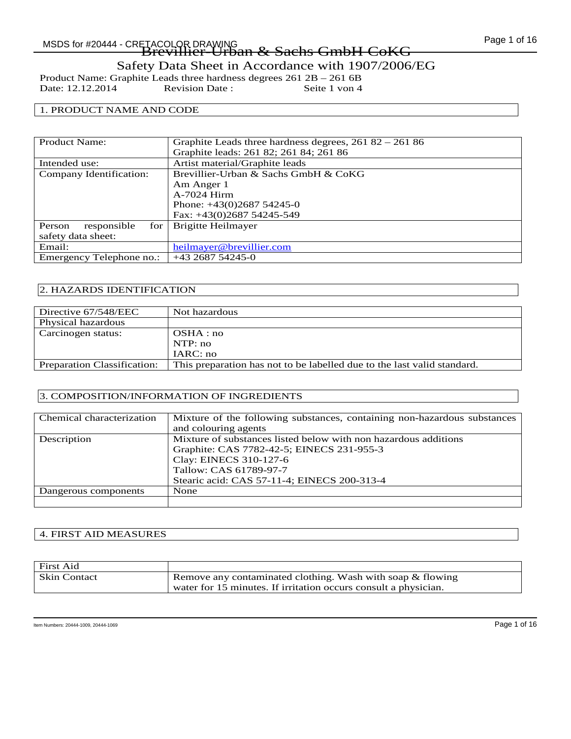Product Name: Graphite Leads three hardness degrees 261 2B – 261 6B<br>Date: 12.12.2014 Revision Date: Seite 1 von 4 Date: 12.12.2014

### 1. PRODUCT NAME AND CODE

| <b>Product Name:</b>         | Graphite Leads three hardness degrees, $26182 - 26186$ |
|------------------------------|--------------------------------------------------------|
|                              | Graphite leads: 261 82; 261 84; 261 86                 |
| Intended use:                | Artist material/Graphite leads                         |
| Company Identification:      | Brevillier-Urban & Sachs GmbH & CoKG                   |
|                              | Am Anger 1                                             |
|                              | A-7024 Hirm                                            |
|                              | Phone: $+43(0)268754245-0$                             |
|                              | Fax: +43(0)2687 54245-549                              |
| responsible<br>Person<br>for | Brigitte Heilmayer                                     |
| safety data sheet:           |                                                        |
| Email:                       | heilmayer@brevillier.com                               |
| Emergency Telephone no.:     | $+43268754245-0$                                       |

### 2. HAZARDS IDENTIFICATION

| Directive 67/548/EEC               | Not hazardous                                                           |
|------------------------------------|-------------------------------------------------------------------------|
| Physical hazardous                 |                                                                         |
| Carcinogen status:                 | OSHA:no                                                                 |
|                                    | NTP:no                                                                  |
|                                    | IARC: no                                                                |
| <b>Preparation Classification:</b> | This preparation has not to be labelled due to the last valid standard. |
|                                    |                                                                         |

### 3. COMPOSITION/INFORMATION OF INGREDIENTS

| Chemical characterization | Mixture of the following substances, containing non-hazardous substances |
|---------------------------|--------------------------------------------------------------------------|
|                           | and colouring agents                                                     |
| Description               | Mixture of substances listed below with non hazardous additions          |
|                           | Graphite: CAS 7782-42-5; EINECS 231-955-3                                |
|                           | Clay: EINECS 310-127-6                                                   |
|                           | Tallow: CAS 61789-97-7                                                   |
|                           | Stearic acid: CAS 57-11-4; EINECS 200-313-4                              |
| Dangerous components      | None                                                                     |
|                           |                                                                          |

### 4. FIRST AID MEASURES

| First Aid           |                                                                 |
|---------------------|-----------------------------------------------------------------|
| <b>Skin Contact</b> | Remove any contaminated clothing. Wash with soap & flowing      |
|                     | water for 15 minutes. If irritation occurs consult a physician. |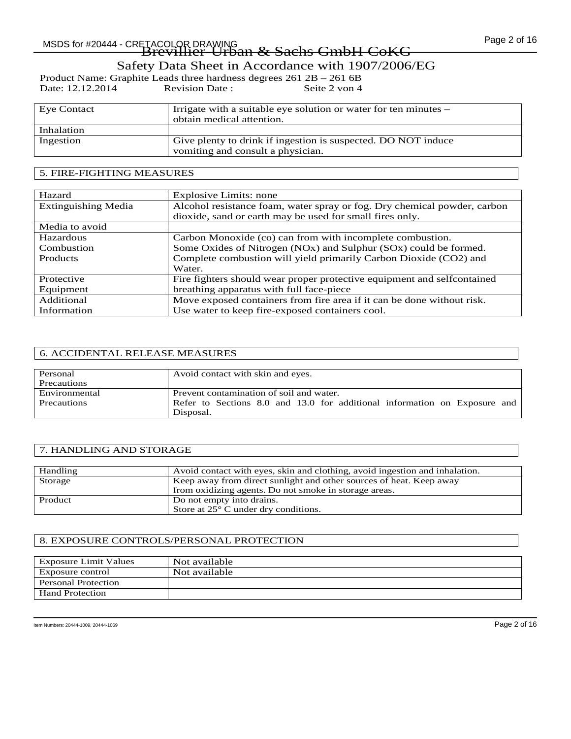# Page 2 of 16 MSDS for #20444 - CRETACOLOR DRAWING Brevillier-Urban & Sachs GmbH CoKG

## Safety Data Sheet in Accordance with 1907/2006/EG

Product Name: Graphite Leads three hardness degrees 261 2B – 261 6B<br>Date: 12.12.2014 Revision Date: Seite 2 von 4 Date: 12.12.2014

| Eye Contact | Irrigate with a suitable eye solution or water for ten minutes –<br>obtain medical attention.      |
|-------------|----------------------------------------------------------------------------------------------------|
| Inhalation  |                                                                                                    |
| Ingestion   | Give plenty to drink if ingestion is suspected. DO NOT induce<br>vomiting and consult a physician. |

### 5. FIRE-FIGHTING MEASURES

| Hazard                     | <b>Explosive Limits: none</b>                                            |
|----------------------------|--------------------------------------------------------------------------|
| <b>Extinguishing Media</b> | Alcohol resistance foam, water spray or fog. Dry chemical powder, carbon |
|                            | dioxide, sand or earth may be used for small fires only.                 |
| Media to avoid             |                                                                          |
| Hazardous                  | Carbon Monoxide (co) can from with incomplete combustion.                |
| Combustion                 | Some Oxides of Nitrogen (NOx) and Sulphur (SOx) could be formed.         |
| <b>Products</b>            | Complete combustion will yield primarily Carbon Dioxide (CO2) and        |
|                            | Water.                                                                   |
| Protective                 | Fire fighters should wear proper protective equipment and selfcontained  |
| Equipment                  | breathing apparatus with full face-piece                                 |
| Additional                 | Move exposed containers from fire area if it can be done without risk.   |
| Information                | Use water to keep fire-exposed containers cool.                          |

### 6. ACCIDENTAL RELEASE MEASURES

| Personal      | Avoid contact with skin and eyes.                                         |
|---------------|---------------------------------------------------------------------------|
| Precautions   |                                                                           |
| Environmental | Prevent contamination of soil and water.                                  |
| Precautions   | Refer to Sections 8.0 and 13.0 for additional information on Exposure and |
|               | Disposal.                                                                 |

### 7. HANDLING AND STORAGE

| Handling | Avoid contact with eyes, skin and clothing, avoid ingestion and inhalation. |
|----------|-----------------------------------------------------------------------------|
| Storage  | Keep away from direct sunlight and other sources of heat. Keep away         |
|          | from oxidizing agents. Do not smoke in storage areas.                       |
| Product  | Do not empty into drains.                                                   |
|          | Store at $25^{\circ}$ C under dry conditions.                               |

### 8. EXPOSURE CONTROLS/PERSONAL PROTECTION

| <b>Exposure Limit Values</b> | Not available |
|------------------------------|---------------|
| Exposure control             | Not available |
| <b>Personal Protection</b>   |               |
| <b>Hand Protection</b>       |               |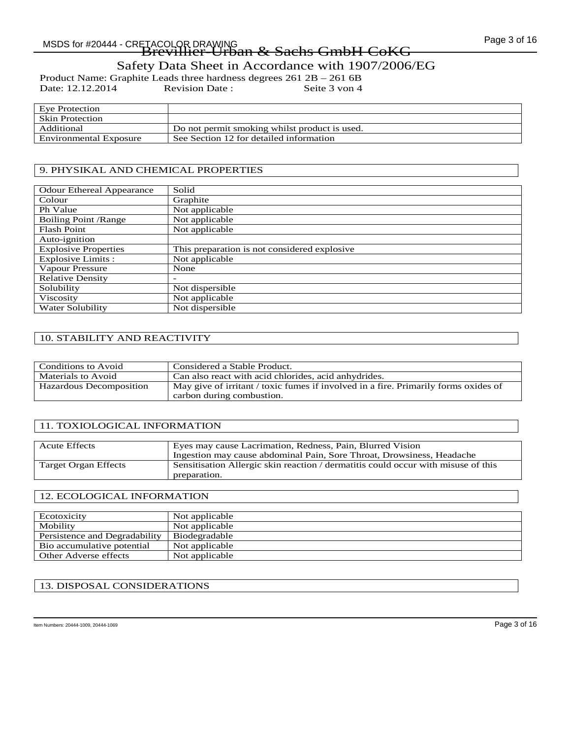Product Name: Graphite Leads three hardness degrees 261 2B – 261 6B<br>Date: 12.12.2014 Revision Date: Seite 3 von 4 Date: 12.12.2014

| Eve Protection         |                                               |
|------------------------|-----------------------------------------------|
| <b>Skin Protection</b> |                                               |
| Additional             | Do not permit smoking whilst product is used. |
| Environmental Exposure | See Section 12 for detailed information       |

### 9. PHYSIKAL AND CHEMICAL PROPERTIES

| <b>Odour Ethereal Appearance</b> | Solid                                        |
|----------------------------------|----------------------------------------------|
| Colour                           | Graphite                                     |
| Ph Value                         | Not applicable                               |
| <b>Boiling Point /Range</b>      | Not applicable                               |
| <b>Flash Point</b>               | Not applicable                               |
| Auto-ignition                    |                                              |
| <b>Explosive Properties</b>      | This preparation is not considered explosive |
| Explosive Limits :               | Not applicable                               |
| Vapour Pressure                  | None                                         |
| <b>Relative Density</b>          |                                              |
| Solubility                       | Not dispersible                              |
| Viscosity                        | Not applicable                               |
| Water Solubility                 | Not dispersible                              |

### 10. STABILITY AND REACTIVITY

| Conditions to Avoid     | Considered a Stable Product.                                                                                     |
|-------------------------|------------------------------------------------------------------------------------------------------------------|
| Materials to Avoid      | Can also react with acid chlorides, acid anhydrides.                                                             |
| Hazardous Decomposition | May give of irritant / toxic fumes if involved in a fire. Primarily forms oxides of<br>carbon during combustion. |

### 11. TOXIOLOGICAL INFORMATION

| Eyes may cause Lacrimation, Redness, Pain, Blurred Vision<br>Ingestion may cause abdominal Pain, Sore Throat, Drowsiness, Headache |
|------------------------------------------------------------------------------------------------------------------------------------|
| Sensitisation Allergic skin reaction / dermatitis could occur with misuse of this                                                  |
| preparation.                                                                                                                       |

### 12. ECOLOGICAL INFORMATION

| Ecotoxicity                   | Not applicable |
|-------------------------------|----------------|
| Mobility                      | Not applicable |
| Persistence and Degradability | Biodegradable  |
| Bio accumulative potential    | Not applicable |
| Other Adverse effects         | Not applicable |

### 13. DISPOSAL CONSIDERATIONS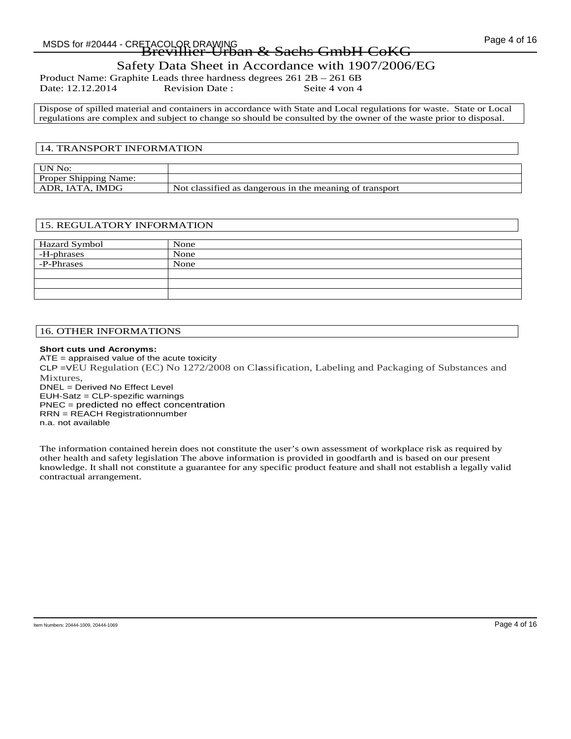# MSDS for #20444 - CRETACOLOR DRAWING COMPARENT CONTROL TO A SAMPLE Page 4 of 16

# Brevillier-Urban & Sachs GmbH CoKG Safety Data Sheet in Accordance with 1907/2006/EG

Product Name: Graphite Leads three hardness degrees 261 2B – 261 6B<br>Date: 12.12.2014 Revision Date: Seite 4 von 4 Date: 12.12.2014

Dispose of spilled material and containers in accordance with State and Local regulations for waste. State or Local regulations are complex and subject to change so should be consulted by the owner of the waste prior to disposal.

### 14. TRANSPORT INFORMATION

| UN No:                       |                                                         |
|------------------------------|---------------------------------------------------------|
| <b>Proper Shipping Name:</b> |                                                         |
| ADR, IATA, IMDG              | Not classified as dangerous in the meaning of transport |

### 15. REGULATORY INFORMATION

| Hazard Symbol | None |
|---------------|------|
| -H-phrases    | None |
| -P-Phrases    | None |
|               |      |
|               |      |
|               |      |

### 16. OTHER INFORMATIONS

### **Short cuts und Acronyms:**

ATE = appraised value of the acute toxicity CLP =VEU Regulation (EC) No 1272/2008 on Cl**a**ssification, Labeling and Packaging of Substances and Mixtures, DNEL = Derived No Effect Level EUH-Satz = CLP-spezific warnings PNEC = predicted no effect concentration RRN = REACH Registrationnumber

n.a. not available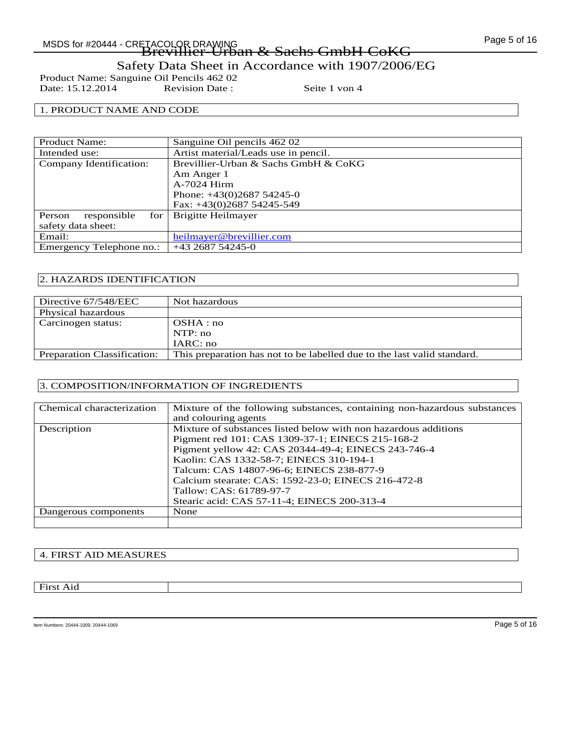Page 5 of 16 MSDS for #20444 - CRETACOLOR DRAWING Brevillier-Urban & Sachs GmbH CoKG

Safety Data Sheet in Accordance with 1907/2006/EG

Product Name: Sanguine Oil Pencils 462 02<br>Date: 15.12.2014 Revision Date: Date: 15.12.2014 Revision Date : Seite 1 von 4

### 1. PRODUCT NAME AND CODE

| Sanguine Oil pencils 462 02          |
|--------------------------------------|
| Artist material/Leads use in pencil. |
| Brevillier-Urban & Sachs GmbH & CoKG |
| Am Anger 1                           |
| A-7024 Hirm                          |
| Phone: $+43(0)268754245-0$           |
| Fax: +43(0)2687 54245-549            |
| <b>Brigitte Heilmayer</b>            |
|                                      |
| heilmayer@brevillier.com             |
| +43 2687 54245-0                     |
|                                      |

### 2. HAZARDS IDENTIFICATION

| Directive 67/548/EEC               | Not hazardous                                                           |
|------------------------------------|-------------------------------------------------------------------------|
| Physical hazardous                 |                                                                         |
| Carcinogen status:                 | OSHA:no                                                                 |
|                                    | NTP:no                                                                  |
|                                    | IARC: no                                                                |
| <b>Preparation Classification:</b> | This preparation has not to be labelled due to the last valid standard. |

### 3. COMPOSITION/INFORMATION OF INGREDIENTS

| Chemical characterization | Mixture of the following substances, containing non-hazardous substances |
|---------------------------|--------------------------------------------------------------------------|
|                           | and colouring agents                                                     |
| Description               | Mixture of substances listed below with non hazardous additions          |
|                           | Pigment red 101: CAS 1309-37-1; EINECS 215-168-2                         |
|                           | Pigment yellow 42: CAS 20344-49-4; EINECS 243-746-4                      |
|                           | Kaolin: CAS 1332-58-7; EINECS 310-194-1                                  |
|                           | Talcum: CAS 14807-96-6; EINECS 238-877-9                                 |
|                           | Calcium stearate: CAS: 1592-23-0; EINECS 216-472-8                       |
|                           | Tallow: CAS: 61789-97-7                                                  |
|                           | Stearic acid: CAS 57-11-4; EINECS 200-313-4                              |
| Dangerous components      | None                                                                     |
|                           |                                                                          |

### 4. FIRST AID MEASURES

First Aid

Item Numbers: 20444-1009, 20444-1069 Page 5 of 16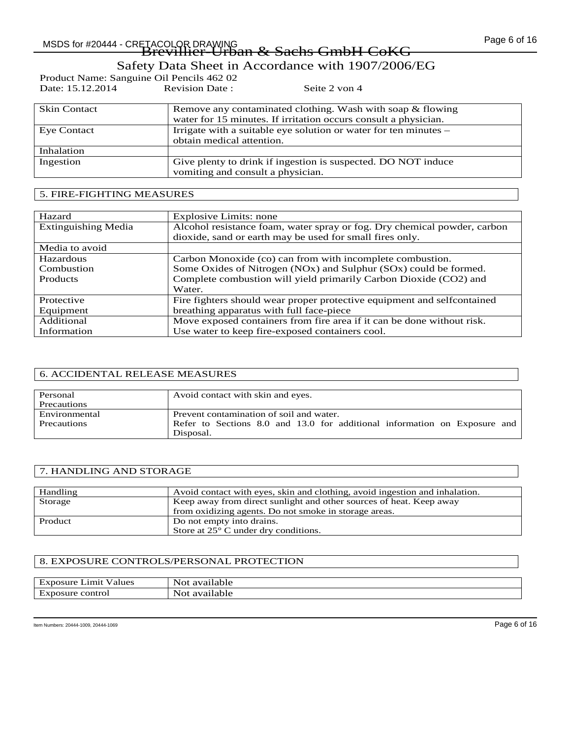Page 6 of 16 MSDS for #20444 - CRETACOLOR DRAWING Brevillier-Urban & Sachs GmbH CoKG

# Safety Data Sheet in Accordance with 1907/2006/EG

Seite 2 von 4

| Product Name: Sanguine Oil Pencils 462 02 |                |
|-------------------------------------------|----------------|
| Date: 15.12.2014                          | Revision Date: |

| <b>Skin Contact</b> | Remove any contaminated clothing. Wash with soap & flowing       |
|---------------------|------------------------------------------------------------------|
|                     | water for 15 minutes. If irritation occurs consult a physician.  |
| <b>Eye Contact</b>  | Irrigate with a suitable eye solution or water for ten minutes – |
|                     | obtain medical attention.                                        |
| Inhalation          |                                                                  |
| Ingestion           | Give plenty to drink if ingestion is suspected. DO NOT induce    |
|                     | vomiting and consult a physician.                                |

### 5. FIRE-FIGHTING MEASURES

| Hazard                     | Explosive Limits: none                                                   |
|----------------------------|--------------------------------------------------------------------------|
| <b>Extinguishing Media</b> | Alcohol resistance foam, water spray or fog. Dry chemical powder, carbon |
|                            | dioxide, sand or earth may be used for small fires only.                 |
| Media to avoid             |                                                                          |
| Hazardous                  | Carbon Monoxide (co) can from with incomplete combustion.                |
| Combustion                 | Some Oxides of Nitrogen (NOx) and Sulphur (SOx) could be formed.         |
| <b>Products</b>            | Complete combustion will yield primarily Carbon Dioxide (CO2) and        |
|                            | Water.                                                                   |
| Protective                 | Fire fighters should wear proper protective equipment and selfcontained  |
| Equipment                  | breathing apparatus with full face-piece                                 |
| Additional                 | Move exposed containers from fire area if it can be done without risk.   |
| Information                | Use water to keep fire-exposed containers cool.                          |

### 6. ACCIDENTAL RELEASE MEASURES

| Personal      | Avoid contact with skin and eyes.                                         |
|---------------|---------------------------------------------------------------------------|
| Precautions   |                                                                           |
| Environmental | Prevent contamination of soil and water.                                  |
| Precautions   | Refer to Sections 8.0 and 13.0 for additional information on Exposure and |
|               | Disposal.                                                                 |

### 7. HANDLING AND STORAGE

| Handling | Avoid contact with eyes, skin and clothing, avoid in gestion and inhalation. |
|----------|------------------------------------------------------------------------------|
| Storage  | Keep away from direct sunlight and other sources of heat. Keep away          |
|          | from oxidizing agents. Do not smoke in storage areas.                        |
| Product  | Do not empty into drains.                                                    |
|          | Store at 25° C under dry conditions.                                         |

### 8. EXPOSURE CONTROLS/PERSONAL PROTECTION

| $\overline{\phantom{0}}$ | $\sim$    |
|--------------------------|-----------|
| Lımıt                    | . .       |
| Exposure                 | available |
| Values                   | Not       |
| control                  | . .       |
| posure                   | available |
| EX1                      | Not       |

Item Numbers: 20444-1009, 20444-1069 Page 6 of 16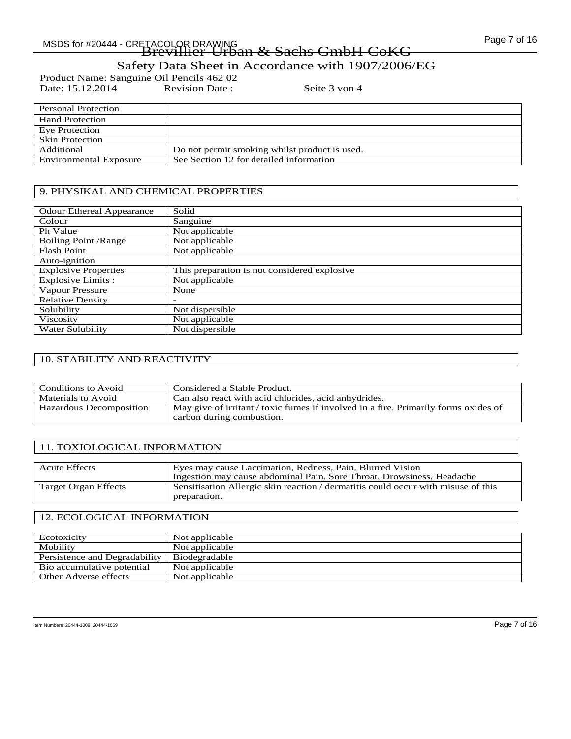Page 7 of 16 MSDS for #20444 - CRETACOLOR DRAWING Brevillier-Urban & Sachs GmbH CoKG

Safety Data Sheet in Accordance with 1907/2006/EG

Product Name: Sanguine Oil Pencils 462 02<br>Date: 15.12.2014 Revision Date: Date: 15.12.2014 Revision Date : Seite 3 von 4

| Personal Protection           |                                               |
|-------------------------------|-----------------------------------------------|
| <b>Hand Protection</b>        |                                               |
| Eye Protection                |                                               |
| <b>Skin Protection</b>        |                                               |
| Additional                    | Do not permit smoking whilst product is used. |
| <b>Environmental Exposure</b> | See Section 12 for detailed information       |

### 9. PHYSIKAL AND CHEMICAL PROPERTIES

| <b>Odour Ethereal Appearance</b> | Solid                                        |
|----------------------------------|----------------------------------------------|
|                                  |                                              |
| Colour                           | Sanguine                                     |
| Ph Value                         | Not applicable                               |
| <b>Boiling Point /Range</b>      | Not applicable                               |
| <b>Flash Point</b>               | Not applicable                               |
| Auto-ignition                    |                                              |
| <b>Explosive Properties</b>      | This preparation is not considered explosive |
| <b>Explosive Limits:</b>         | Not applicable                               |
| Vapour Pressure                  | None                                         |
| <b>Relative Density</b>          |                                              |
| Solubility                       | Not dispersible                              |
| Viscosity                        | Not applicable                               |
| Water Solubility                 | Not dispersible                              |

### 10. STABILITY AND REACTIVITY

| Conditions to Avoid     | Considered a Stable Product.                                                        |
|-------------------------|-------------------------------------------------------------------------------------|
| Materials to Avoid      | Can also react with acid chlorides, acid anhydrides.                                |
| Hazardous Decomposition | May give of irritant / toxic fumes if involved in a fire. Primarily forms oxides of |
|                         | carbon during combustion.                                                           |

### 11. TOXIOLOGICAL INFORMATION

| <b>Acute Effects</b> | Eyes may cause Lacrimation, Redness, Pain, Blurred Vision                         |
|----------------------|-----------------------------------------------------------------------------------|
|                      | Ingestion may cause abdominal Pain, Sore Throat, Drowsiness, Headache             |
| Target Organ Effects | Sensitisation Allergic skin reaction / dermatitis could occur with misuse of this |
|                      | preparation.                                                                      |

### 12. ECOLOGICAL INFORMATION

| Ecotoxicity                   | Not applicable |
|-------------------------------|----------------|
| Mobility                      | Not applicable |
| Persistence and Degradability | Biodegradable  |
| Bio accumulative potential    | Not applicable |
| Other Adverse effects         | Not applicable |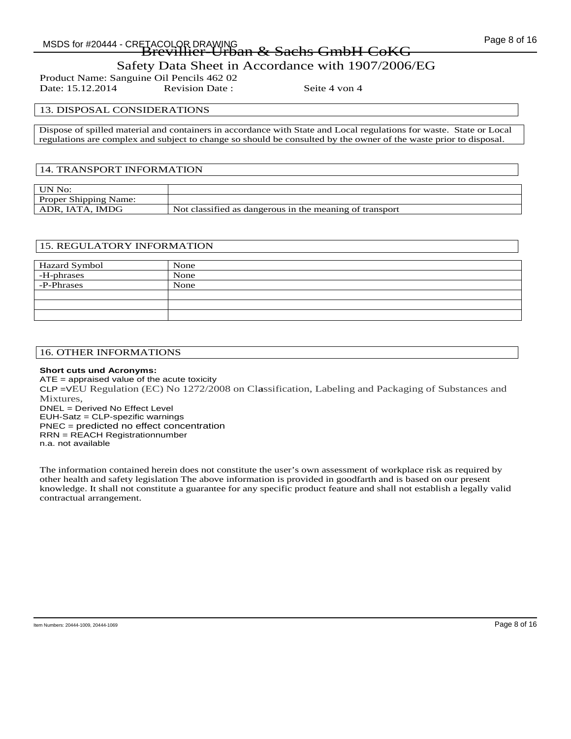Page 8 of 16 MSDS for #20444 - CRETACOLOR DRAWING Brevillier-Urban & Sachs GmbH CoKG

## Safety Data Sheet in Accordance with 1907/2006/EG

Product Name: Sanguine Oil Pencils 462 02<br>Date: 15.12.2014 Revision Date: Date: 15.12.2014 Revision Date : Seite 4 von 4

### 13. DISPOSAL CONSIDERATIONS

Dispose of spilled material and containers in accordance with State and Local regulations for waste. State or Local regulations are complex and subject to change so should be consulted by the owner of the waste prior to disposal.

### 14. TRANSPORT INFORMATION

| UN No:                       |                                                         |
|------------------------------|---------------------------------------------------------|
| <b>Proper Shipping Name:</b> |                                                         |
| ADR. IATA. IMDG              | Not classified as dangerous in the meaning of transport |

### 15. REGULATORY INFORMATION

| Hazard Symbol | None |
|---------------|------|
| -H-phrases    | None |
| -P-Phrases    | None |
|               |      |
|               |      |
|               |      |

### 16. OTHER INFORMATIONS

### **Short cuts und Acronyms:**

ATE = appraised value of the acute toxicity CLP =VEU Regulation (EC) No 1272/2008 on Cl**a**ssification, Labeling and Packaging of Substances and Mixtures, DNEL = Derived No Effect Level EUH-Satz = CLP-spezific warnings PNEC = predicted no effect concentration RRN = REACH Registrationnumber n.a. not available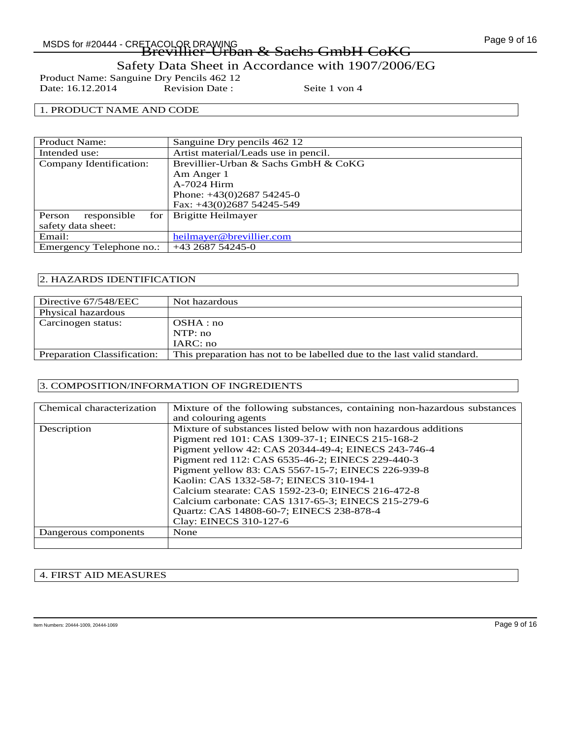Page 9 of 16 MSDS for #20444 - CRETACOLOR DRAWING Brevillier-Urban & Sachs GmbH CoKG

Safety Data Sheet in Accordance with 1907/2006/EG

Product Name: Sanguine Dry Pencils 462 12<br>Date: 16.12.2014 Revision Date : Date: 16.12.2014 Revision Date : Seite 1 von 4

### 1. PRODUCT NAME AND CODE

| <b>Product Name:</b>           | Sanguine Dry pencils 462 12          |
|--------------------------------|--------------------------------------|
| Intended use:                  | Artist material/Leads use in pencil. |
| Company Identification:        | Brevillier-Urban & Sachs GmbH & CoKG |
|                                | Am Anger 1                           |
|                                | A-7024 Hirm                          |
|                                | Phone: $+43(0)268754245-0$           |
|                                | Fax: $+43(0)268754245-549$           |
| responsible<br>for  <br>Person | Brigitte Heilmayer                   |
| safety data sheet:             |                                      |
| Email:                         | heilmayer@brevillier.com             |
| Emergency Telephone no.:       | +43 2687 54245-0                     |

### 2. HAZARDS IDENTIFICATION

| Directive 67/548/EEC               | Not hazardous                                                           |
|------------------------------------|-------------------------------------------------------------------------|
| Physical hazardous                 |                                                                         |
| Carcinogen status:                 | OSHA:no                                                                 |
|                                    | NTP:no                                                                  |
|                                    | IARC: no                                                                |
| <b>Preparation Classification:</b> | This preparation has not to be labelled due to the last valid standard. |

### 3. COMPOSITION/INFORMATION OF INGREDIENTS

| Chemical characterization | Mixture of the following substances, containing non-hazardous substances |
|---------------------------|--------------------------------------------------------------------------|
|                           | and colouring agents                                                     |
| Description               | Mixture of substances listed below with non hazardous additions          |
|                           | Pigment red 101: CAS 1309-37-1; EINECS 215-168-2                         |
|                           | Pigment yellow 42: CAS 20344-49-4; EINECS 243-746-4                      |
|                           | Pigment red 112: CAS 6535-46-2; EINECS 229-440-3                         |
|                           | Pigment yellow 83: CAS 5567-15-7; EINECS 226-939-8                       |
|                           | Kaolin: CAS 1332-58-7; EINECS 310-194-1                                  |
|                           | Calcium stearate: CAS 1592-23-0; EINECS 216-472-8                        |
|                           | Calcium carbonate: CAS 1317-65-3; EINECS 215-279-6                       |
|                           | Quartz: CAS 14808-60-7; EINECS 238-878-4                                 |
|                           | Clay: EINECS 310-127-6                                                   |
| Dangerous components      | None                                                                     |
|                           |                                                                          |

### 4. FIRST AID MEASURES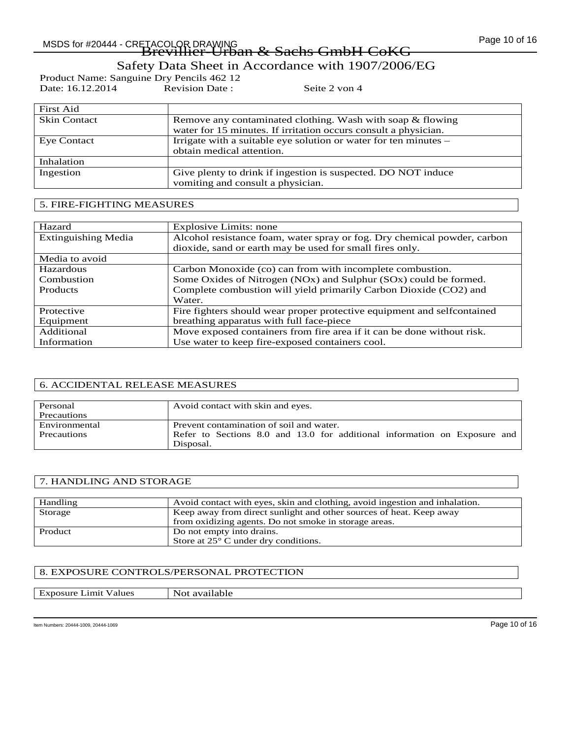Page 10 of 16 MSDS for #20444 - CRETACOLOR DRAWING Brevillier-Urban & Sachs GmbH CoKG

### Safety Data Sheet in Accordance with 1907/2006/EG

Product Name: Sanguine Dry Pencils 462 12<br>Date: 16.12.2014 Revision Date : Date: 16.12.2014 Revision Date : Seite 2 von 4

| First Aid           |                                                                  |
|---------------------|------------------------------------------------------------------|
| <b>Skin Contact</b> | Remove any contaminated clothing. Wash with soap & flowing       |
|                     | water for 15 minutes. If irritation occurs consult a physician.  |
| Eye Contact         | Irrigate with a suitable eye solution or water for ten minutes – |
|                     | obtain medical attention.                                        |
| Inhalation          |                                                                  |
| Ingestion           | Give plenty to drink if ingestion is suspected. DO NOT induce    |
|                     | vomiting and consult a physician.                                |

### 5. FIRE-FIGHTING MEASURES

| Hazard                     | Explosive Limits: none                                                   |
|----------------------------|--------------------------------------------------------------------------|
| <b>Extinguishing Media</b> | Alcohol resistance foam, water spray or fog. Dry chemical powder, carbon |
|                            | dioxide, sand or earth may be used for small fires only.                 |
| Media to avoid             |                                                                          |
| Hazardous                  | Carbon Monoxide (co) can from with incomplete combustion.                |
| Combustion                 | Some Oxides of Nitrogen (NOx) and Sulphur (SOx) could be formed.         |
| <b>Products</b>            | Complete combustion will yield primarily Carbon Dioxide (CO2) and        |
|                            | Water.                                                                   |
| Protective                 | Fire fighters should wear proper protective equipment and selfcontained  |
| Equipment                  | breathing apparatus with full face-piece                                 |
| Additional                 | Move exposed containers from fire area if it can be done without risk.   |
| Information                | Use water to keep fire-exposed containers cool.                          |

### 6. ACCIDENTAL RELEASE MEASURES

| Personal           | Avoid contact with skin and eyes.                                         |
|--------------------|---------------------------------------------------------------------------|
| Precautions        |                                                                           |
| Environmental      | Prevent contamination of soil and water.                                  |
| <b>Precautions</b> | Refer to Sections 8.0 and 13.0 for additional information on Exposure and |
|                    | Disposal.                                                                 |

### 7. HANDLING AND STORAGE

| Handling | Avoid contact with eyes, skin and clothing, avoid in gestion and inhalation. |
|----------|------------------------------------------------------------------------------|
| Storage  | Keep away from direct sunlight and other sources of heat. Keep away          |
|          | from oxidizing agents. Do not smoke in storage areas.                        |
| Product  | Do not empty into drains.                                                    |
|          | Store at $25^{\circ}$ C under dry conditions.                                |

### 8. EXPOSURE CONTROLS/PERSONAL PROTECTION

Exposure Limit Values Not available

Item Numbers: 20444-1009, 20444-1069 Page 10 of 16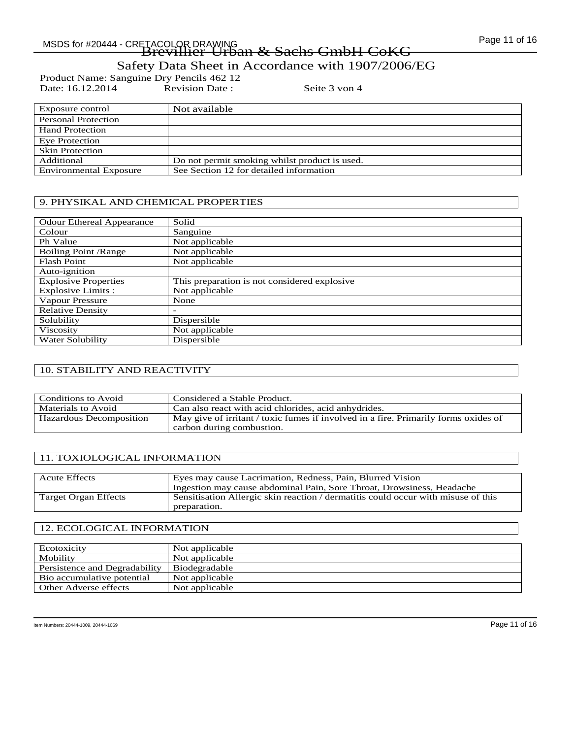Page 11 of 16 MSDS for #20444 - CRETACOLOR DRAWING<br>Brevillier-Urban & Sachs GmbH CoKG

Safety Data Sheet in Accordance with 1907/2006/EG

Product Name: Sanguine Dry Pencils 462 12<br>Date: 16.12.2014 Revision Date : Date: 16.12.2014 Revision Date : Seite 3 von 4

| Exposure control              | Not available                                 |
|-------------------------------|-----------------------------------------------|
| Personal Protection           |                                               |
| <b>Hand Protection</b>        |                                               |
| Eye Protection                |                                               |
| <b>Skin Protection</b>        |                                               |
| Additional                    | Do not permit smoking whilst product is used. |
| <b>Environmental Exposure</b> | See Section 12 for detailed information       |

### 9. PHYSIKAL AND CHEMICAL PROPERTIES

| <b>Odour Ethereal Appearance</b> | Solid                                        |
|----------------------------------|----------------------------------------------|
| Colour                           | Sanguine                                     |
| Ph Value                         | Not applicable                               |
| <b>Boiling Point / Range</b>     | Not applicable                               |
| <b>Flash Point</b>               | Not applicable                               |
| Auto-ignition                    |                                              |
| <b>Explosive Properties</b>      | This preparation is not considered explosive |
| <b>Explosive Limits:</b>         | Not applicable                               |
| Vapour Pressure                  | None                                         |
| <b>Relative Density</b>          |                                              |
| Solubility                       | Dispersible                                  |
| Viscosity                        | Not applicable                               |
| Water Solubility                 | Dispersible                                  |

### 10. STABILITY AND REACTIVITY

| Conditions to Avoid     | Considered a Stable Product.                                                        |
|-------------------------|-------------------------------------------------------------------------------------|
| Materials to Avoid      | Can also react with acid chlorides, acid anhydrides.                                |
| Hazardous Decomposition | May give of irritant / toxic fumes if involved in a fire. Primarily forms oxides of |
|                         | carbon during combustion.                                                           |

### 11. TOXIOLOGICAL INFORMATION

| <b>Acute Effects</b> | Eyes may cause Lacrimation, Redness, Pain, Blurred Vision                                         |
|----------------------|---------------------------------------------------------------------------------------------------|
|                      | Ingestion may cause abdominal Pain, Sore Throat, Drowsiness, Headache                             |
| Target Organ Effects | Sensitisation Allergic skin reaction / dermatitis could occur with misuse of this<br>preparation. |

### 12. ECOLOGICAL INFORMATION

| Ecotoxicity                   | Not applicable |
|-------------------------------|----------------|
| Mobility                      | Not applicable |
| Persistence and Degradability | Biodegradable  |
| Bio accumulative potential    | Not applicable |
| Other Adverse effects         | Not applicable |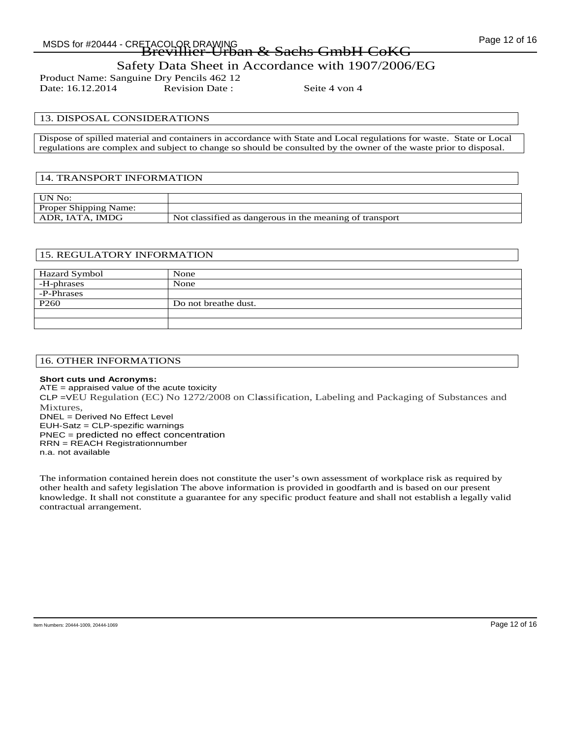Product Name: Sanguine Dry Pencils 462 12<br>Date: 16.12.2014 Revision Date: Date: 16.12.2014 Revision Date : Seite 4 von 4

### 13. DISPOSAL CONSIDERATIONS

Dispose of spilled material and containers in accordance with State and Local regulations for waste. State or Local regulations are complex and subject to change so should be consulted by the owner of the waste prior to disposal.

### 14. TRANSPORT INFORMATION

| UN No:                       |                                                         |
|------------------------------|---------------------------------------------------------|
| <b>Proper Shipping Name:</b> |                                                         |
| ADR, IATA, IMDG              | Not classified as dangerous in the meaning of transport |

### 15. REGULATORY INFORMATION

| Hazard Symbol    | None                 |
|------------------|----------------------|
| -H-phrases       | None                 |
| -P-Phrases       |                      |
| P <sub>260</sub> | Do not breathe dust. |
|                  |                      |
|                  |                      |

### 16. OTHER INFORMATIONS

### **Short cuts und Acronyms:**

ATE = appraised value of the acute toxicity CLP =VEU Regulation (EC) No 1272/2008 on Cl**a**ssification, Labeling and Packaging of Substances and Mixtures, DNEL = Derived No Effect Level EUH-Satz = CLP-spezific warnings PNEC = predicted no effect concentration RRN = REACH Registrationnumber n.a. not available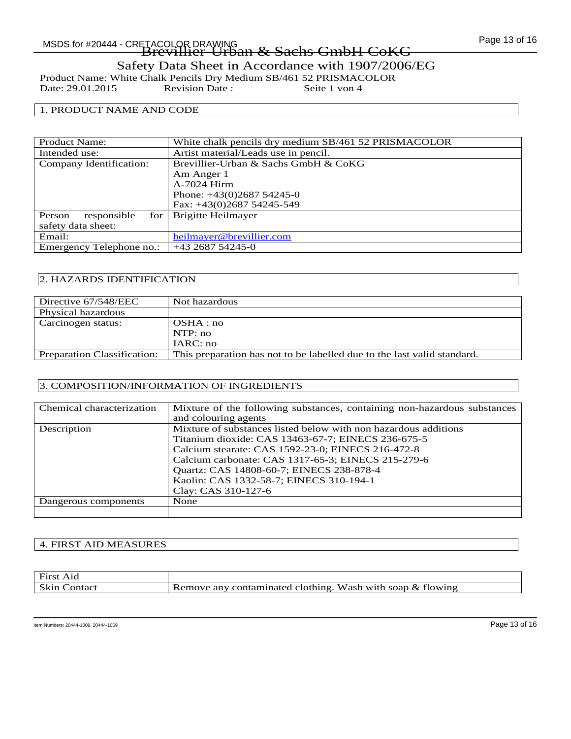Product Name: White Chalk Pencils Dry Medium SB/461 52 PRISMACOLOR<br>Date: 29.01.2015 Revision Date : Seite 1 von 4 Date: 29.01.2015

### 1. PRODUCT NAME AND CODE

| <b>Product Name:</b>           | White chalk pencils dry medium SB/461 52 PRISMACOLOR |
|--------------------------------|------------------------------------------------------|
| Intended use:                  | Artist material/Leads use in pencil.                 |
| Company Identification:        | Brevillier-Urban & Sachs GmbH & CoKG                 |
|                                | Am Anger 1                                           |
|                                | A-7024 Hirm                                          |
|                                | Phone: $+43(0)268754245-0$                           |
|                                | Fax: +43(0)2687 54245-549                            |
| responsible<br>for 1<br>Person | Brigitte Heilmayer                                   |
| safety data sheet:             |                                                      |
| Email:                         | heilmayer@brevillier.com                             |
| Emergency Telephone no.:       | $+43268754245 - 0$                                   |

### 2. HAZARDS IDENTIFICATION

| Directive 67/548/EEC               | Not hazardous                                                           |
|------------------------------------|-------------------------------------------------------------------------|
| Physical hazardous                 |                                                                         |
| Carcinogen status:                 | OSHA:no                                                                 |
|                                    | NTP: no                                                                 |
|                                    | IARC: no                                                                |
| <b>Preparation Classification:</b> | This preparation has not to be labelled due to the last valid standard. |

### 3. COMPOSITION/INFORMATION OF INGREDIENTS

| Chemical characterization | Mixture of the following substances, containing non-hazardous substances |
|---------------------------|--------------------------------------------------------------------------|
|                           | and colouring agents                                                     |
| Description               | Mixture of substances listed below with non hazardous additions          |
|                           | Titanium dioxide: CAS 13463-67-7; EINECS 236-675-5                       |
|                           | Calcium stearate: CAS 1592-23-0; EINECS 216-472-8                        |
|                           | Calcium carbonate: CAS 1317-65-3; EINECS 215-279-6                       |
|                           | Quartz: CAS 14808-60-7; EINECS 238-878-4                                 |
|                           | Kaolin: CAS 1332-58-7; EINECS 310-194-1                                  |
|                           | Clay: CAS 310-127-6                                                      |
| Dangerous components      | None                                                                     |
|                           |                                                                          |

### 4. FIRST AID MEASURES

| First<br>A1d     |                                                            |
|------------------|------------------------------------------------------------|
| Skin<br>.`ontact | Remove any contaminated clothing. Wash with soap & flowing |

Item Numbers: 20444-1009, 20444-1069 Page 13 of 16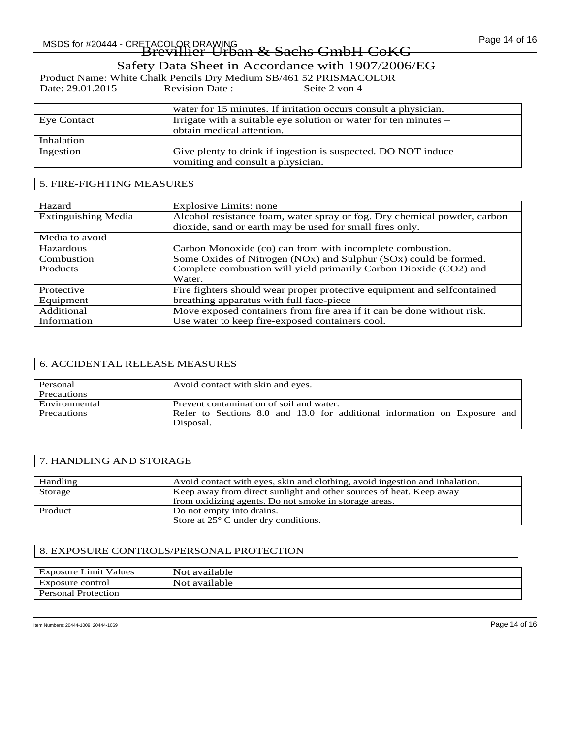Product Name: White Chalk Pencils Dry Medium SB/461 52 PRISMACOLOR<br>Date: 29.01.2015 Revision Date : Seite 2 von 4 Date: 29.01.2015

|                    | water for 15 minutes. If irritation occurs consult a physician.  |
|--------------------|------------------------------------------------------------------|
| <b>Eye Contact</b> | Irrigate with a suitable eye solution or water for ten minutes – |
|                    | obtain medical attention.                                        |
| Inhalation         |                                                                  |
| Ingestion          | Give plenty to drink if ingestion is suspected. DO NOT induce    |
|                    | vomiting and consult a physician.                                |

### 5. FIRE-FIGHTING MEASURES

| Hazard                     | Explosive Limits: none                                                                                                               |
|----------------------------|--------------------------------------------------------------------------------------------------------------------------------------|
| <b>Extinguishing Media</b> | Alcohol resistance foam, water spray or fog. Dry chemical powder, carbon<br>dioxide, sand or earth may be used for small fires only. |
| Media to avoid             |                                                                                                                                      |
| Hazardous                  | Carbon Monoxide (co) can from with incomplete combustion.                                                                            |
| Combustion                 | Some Oxides of Nitrogen (NOx) and Sulphur (SOx) could be formed.                                                                     |
| <b>Products</b>            | Complete combustion will yield primarily Carbon Dioxide (CO2) and                                                                    |
|                            | Water.                                                                                                                               |
| Protective                 | Fire fighters should wear proper protective equipment and selfcontained                                                              |
| Equipment                  | breathing apparatus with full face-piece                                                                                             |
| Additional                 | Move exposed containers from fire area if it can be done without risk.                                                               |
| Information                | Use water to keep fire-exposed containers cool.                                                                                      |

### 6. ACCIDENTAL RELEASE MEASURES

| Personal      | Avoid contact with skin and eyes.                                         |
|---------------|---------------------------------------------------------------------------|
| Precautions   |                                                                           |
| Environmental | Prevent contamination of soil and water.                                  |
| Precautions   | Refer to Sections 8.0 and 13.0 for additional information on Exposure and |
|               | Disposal.                                                                 |

### 7. HANDLING AND STORAGE

| Handling | Avoid contact with eyes, skin and clothing, avoid ingestion and inhalation. |
|----------|-----------------------------------------------------------------------------|
| Storage  | Keep away from direct sunlight and other sources of heat. Keep away         |
|          | from oxidizing agents. Do not smoke in storage areas.                       |
| Product  | Do not empty into drains.                                                   |
|          | Store at $25^{\circ}$ C under dry conditions.                               |

### 8. EXPOSURE CONTROLS/PERSONAL PROTECTION

| <b>Exposure Limit Values</b> | Not available |
|------------------------------|---------------|
| Exposure control             | Not available |
| <b>Personal Protection</b>   |               |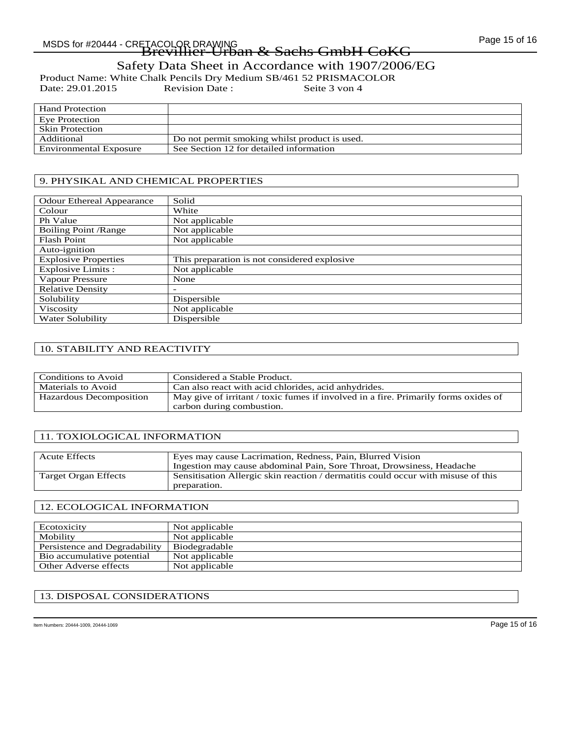# Page 15 of 16 MSDS for #20444 - CRETACOLOR DRAWING Brevillier-Urban & Sachs GmbH CoKG

# Safety Data Sheet in Accordance with 1907/2006/EG

Product Name: White Chalk Pencils Dry Medium SB/461 52 PRISMACOLOR<br>Date: 29.01.2015 Revision Date : Seite 3 von 4

Date: 29.01.2015

| <b>Hand Protection</b>        |                                               |
|-------------------------------|-----------------------------------------------|
| Eve Protection                |                                               |
| <b>Skin Protection</b>        |                                               |
| Additional                    | Do not permit smoking whilst product is used. |
| <b>Environmental Exposure</b> | See Section 12 for detailed information       |

### 9. PHYSIKAL AND CHEMICAL PROPERTIES

| <b>Odour Ethereal Appearance</b> | Solid                                        |
|----------------------------------|----------------------------------------------|
| Colour                           | White                                        |
| Ph Value                         | Not applicable                               |
| <b>Boiling Point /Range</b>      | Not applicable                               |
| <b>Flash Point</b>               | Not applicable                               |
| Auto-ignition                    |                                              |
| <b>Explosive Properties</b>      | This preparation is not considered explosive |
| <b>Explosive Limits:</b>         | Not applicable                               |
| Vapour Pressure                  | None                                         |
| <b>Relative Density</b>          | $\overline{\phantom{0}}$                     |
| Solubility                       | Dispersible                                  |
| Viscosity                        | Not applicable                               |
| Water Solubility                 | Dispersible                                  |
|                                  |                                              |

### 10. STABILITY AND REACTIVITY

| Conditions to Avoid     | Considered a Stable Product.                                                                                     |
|-------------------------|------------------------------------------------------------------------------------------------------------------|
| Materials to Avoid      | Can also react with acid chlorides, acid anhydrides.                                                             |
| Hazardous Decomposition | May give of irritant / toxic fumes if involved in a fire. Primarily forms oxides of<br>carbon during combustion. |

### 11. TOXIOLOGICAL INFORMATION

| <b>Acute Effects</b> | Eyes may cause Lacrimation, Redness, Pain, Blurred Vision                         |
|----------------------|-----------------------------------------------------------------------------------|
|                      | In gestion may cause abdominal Pain, Sore Throat, Drowsiness, Headache            |
| Target Organ Effects | Sensitisation Allergic skin reaction / dermatitis could occur with misuse of this |
|                      | preparation.                                                                      |

### 12. ECOLOGICAL INFORMATION

| Ecotoxicity                   | Not applicable |
|-------------------------------|----------------|
| Mobility                      | Not applicable |
| Persistence and Degradability | Biodegradable  |
| Bio accumulative potential    | Not applicable |
| Other Adverse effects         | Not applicable |

### 13. DISPOSAL CONSIDERATIONS